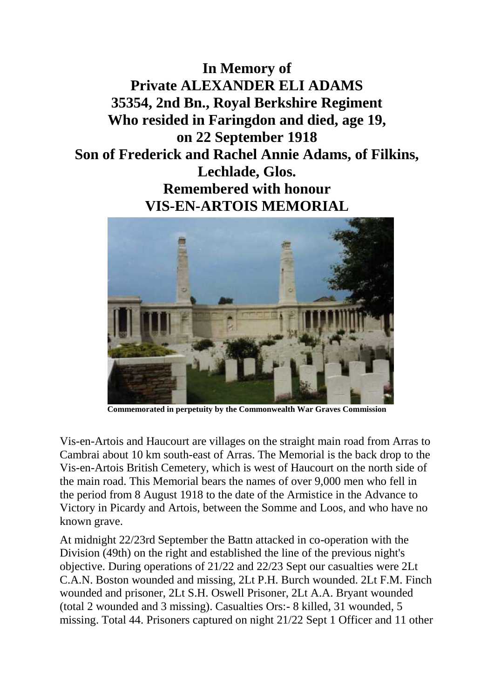**In Memory of Private ALEXANDER ELI ADAMS 35354, 2nd Bn., Royal Berkshire Regiment Who resided in Faringdon and died, age 19, on 22 September 1918 Son of Frederick and Rachel Annie Adams, of Filkins, Lechlade, Glos. Remembered with honour VIS-EN-ARTOIS MEMORIAL**



**Commemorated in perpetuity by the Commonwealth War Graves Commission**

Vis-en-Artois and Haucourt are villages on the straight main road from Arras to Cambrai about 10 km south-east of Arras. The Memorial is the back drop to the Vis-en-Artois British Cemetery, which is west of Haucourt on the north side of the main road. This Memorial bears the names of over 9,000 men who fell in the period from 8 August 1918 to the date of the Armistice in the Advance to Victory in Picardy and Artois, between the Somme and Loos, and who have no known grave.

At midnight 22/23rd September the Battn attacked in co-operation with the Division (49th) on the right and established the line of the previous night's objective. During operations of 21/22 and 22/23 Sept our casualties were 2Lt C.A.N. Boston wounded and missing, 2Lt P.H. Burch wounded. 2Lt F.M. Finch wounded and prisoner, 2Lt S.H. Oswell Prisoner, 2Lt A.A. Bryant wounded (total 2 wounded and 3 missing). Casualties Ors:- 8 killed, 31 wounded, 5 missing. Total 44. Prisoners captured on night 21/22 Sept 1 Officer and 11 other